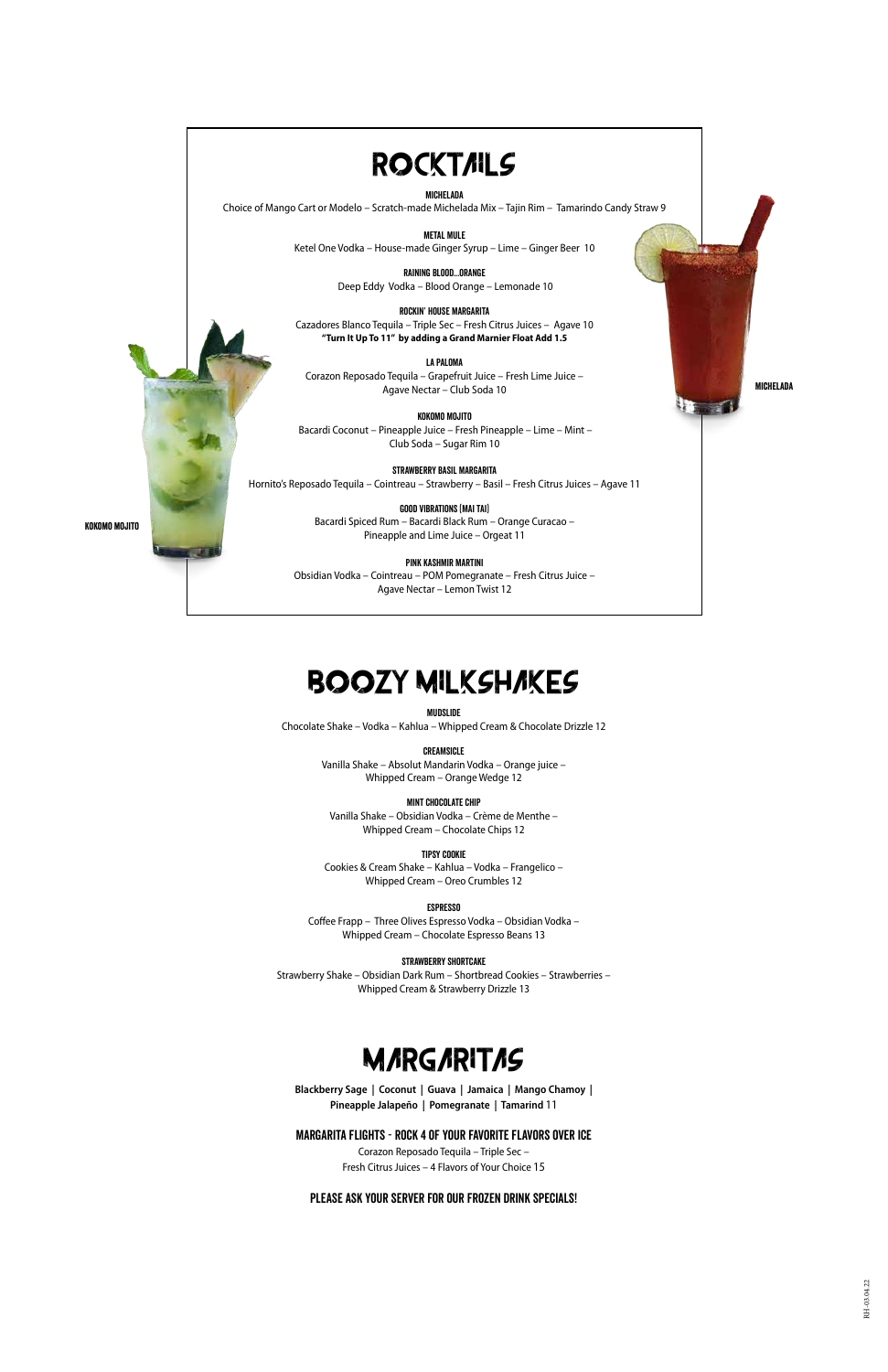# **ROCKTAILS**

#### michelada

Choice of Mango Cart or Modelo – Scratch-made Michelada Mix – Tajin Rim – Tamarindo Candy Straw 9

METAL MULE Ketel One Vodka – House-made Ginger Syrup – Lime – Ginger Beer 10

> raining blood...orange Deep Eddy Vodka – Blood Orange – Lemonade 10

Rockin' House Margarita Cazadores Blanco Tequila – Triple Sec – Fresh Citrus Juices – Agave 10 **"Turn It Up To 11" by adding a Grand Marnier Float Add 1.5**

La Paloma Corazon Reposado Tequila – Grapefruit Juice – Fresh Lime Juice – Agave Nectar – Club Soda 10

Kokomo Mojito Bacardi Coconut – Pineapple Juice – Fresh Pineapple – Lime – Mint – Club Soda – Sugar Rim 10

Strawberry Basil Margarita Hornito's Reposado Tequila – Cointreau – Strawberry – Basil – Fresh Citrus Juices – Agave 11

> GOOD VIBRATIONS (MAI TAI) Bacardi Spiced Rum – Bacardi Black Rum – Orange Curacao – Pineapple and Lime Juice – Orgeat 11

Pink Kashmir Martini Obsidian Vodka – Cointreau – POM Pomegranate – Fresh Citrus Juice – Agave Nectar – Lemon Twist 12

### Mudslide

Chocolate Shake – Vodka – Kahlua – Whipped Cream & Chocolate Drizzle 12

### Creamsicle

Vanilla Shake – Absolut Mandarin Vodka – Orange juice – Whipped Cream – Orange Wedge 12

### Mint Chocolate Chip

Vanilla Shake – Obsidian Vodka – Crème de Menthe – Whipped Cream – Chocolate Chips 12

#### Tipsy Cookie

Cookies & Cream Shake – Kahlua – Vodka – Frangelico – Whipped Cream – Oreo Crumbles 12

#### **ESPRESSO**

Coffee Frapp – Three Olives Espresso Vodka – Obsidian Vodka – Whipped Cream – Chocolate Espresso Beans 13

#### Strawberry Shortcake

Strawberry Shake – Obsidian Dark Rum – Shortbread Cookies – Strawberries – Whipped Cream & Strawberry Drizzle 13

**Blackberry Sage | Coconut | Guava | Jamaica | Mango Chamoy | Pineapple Jalapeño | Pomegranate | Tamarind** 11

### Margarita Flights - Rock 4 of your favorite flavors over ice

Corazon Reposado Tequila – Triple Sec – Fresh Citrus Juices – 4 Flavors of Your Choice 15

### Please ask your server for our frozen drink specials!

### BOOZY MILKSHAKES

Michelada

kokomo mojito

### **MARGARITAS**